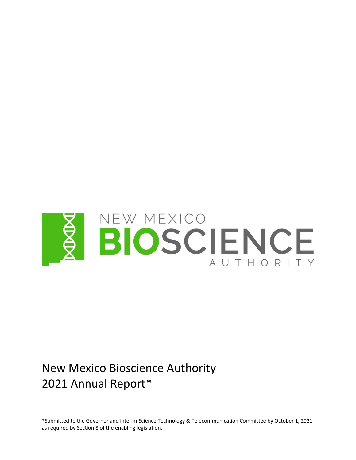

# New Mexico Bioscience Authority 2021 Annual Report\*

\*Submitted to the Governor and interim Science Technology & Telecommunication Committee by October 1, 2021 as required by Section 8 of the enabling legislation.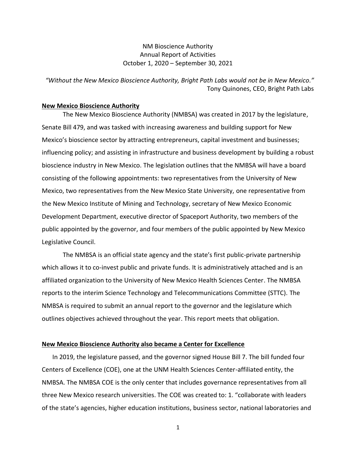# NM Bioscience Authority Annual Report of Activities October 1, 2020 – September 30, 2021

*"Without the New Mexico Bioscience Authority, Bright Path Labs would not be in New Mexico."* Tony Quinones, CEO, Bright Path Labs

#### **New Mexico Bioscience Authority**

The New Mexico Bioscience Authority (NMBSA) was created in 2017 by the legislature, Senate Bill 479, and was tasked with increasing awareness and building support for New Mexico's bioscience sector by attracting entrepreneurs, capital investment and businesses; influencing policy; and assisting in infrastructure and business development by building a robust bioscience industry in New Mexico. The legislation outlines that the NMBSA will have a board consisting of the following appointments: two representatives from the University of New Mexico, two representatives from the New Mexico State University, one representative from the New Mexico Institute of Mining and Technology, secretary of New Mexico Economic Development Department, executive director of Spaceport Authority, two members of the public appointed by the governor, and four members of the public appointed by New Mexico Legislative Council.

The NMBSA is an official state agency and the state's first public-private partnership which allows it to co-invest public and private funds. It is administratively attached and is an affiliated organization to the University of New Mexico Health Sciences Center. The NMBSA reports to the interim Science Technology and Telecommunications Committee (STTC). The NMBSA is required to submit an annual report to the governor and the legislature which outlines objectives achieved throughout the year. This report meets that obligation.

#### **New Mexico Bioscience Authority also became a Center for Excellence**

In 2019, the legislature passed, and the governor signed House Bill 7. The bill funded four Centers of Excellence (COE), one at the UNM Health Sciences Center-affiliated entity, the NMBSA. The NMBSA COE is the only center that includes governance representatives from all three New Mexico research universities. The COE was created to: 1. "collaborate with leaders of the state's agencies, higher education institutions, business sector, national laboratories and

1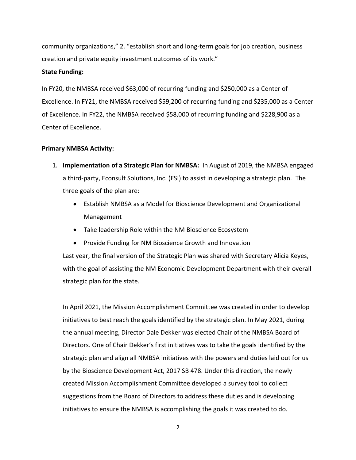community organizations," 2. "establish short and long-term goals for job creation, business creation and private equity investment outcomes of its work."

## **State Funding:**

In FY20, the NMBSA received \$63,000 of recurring funding and \$250,000 as a Center of Excellence. In FY21, the NMBSA received \$59,200 of recurring funding and \$235,000 as a Center of Excellence. In FY22, the NMBSA received \$58,000 of recurring funding and \$228,900 as a Center of Excellence.

## **Primary NMBSA Activity:**

- 1. **Implementation of a Strategic Plan for NMBSA:** In August of 2019, the NMBSA engaged a third-party, Econsult Solutions, Inc. (ESI) to assist in developing a strategic plan. The three goals of the plan are:
	- Establish NMBSA as a Model for Bioscience Development and Organizational Management
	- Take leadership Role within the NM Bioscience Ecosystem
	- Provide Funding for NM Bioscience Growth and Innovation

Last year, the final version of the Strategic Plan was shared with Secretary Alicia Keyes, with the goal of assisting the NM Economic Development Department with their overall strategic plan for the state.

In April 2021, the Mission Accomplishment Committee was created in order to develop initiatives to best reach the goals identified by the strategic plan. In May 2021, during the annual meeting, Director Dale Dekker was elected Chair of the NMBSA Board of Directors. One of Chair Dekker's first initiatives was to take the goals identified by the strategic plan and align all NMBSA initiatives with the powers and duties laid out for us by the Bioscience Development Act, 2017 SB 478. Under this direction, the newly created Mission Accomplishment Committee developed a survey tool to collect suggestions from the Board of Directors to address these duties and is developing initiatives to ensure the NMBSA is accomplishing the goals it was created to do.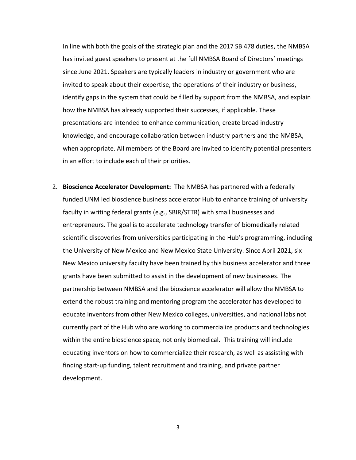In line with both the goals of the strategic plan and the 2017 SB 478 duties, the NMBSA has invited guest speakers to present at the full NMBSA Board of Directors' meetings since June 2021. Speakers are typically leaders in industry or government who are invited to speak about their expertise, the operations of their industry or business, identify gaps in the system that could be filled by support from the NMBSA, and explain how the NMBSA has already supported their successes, if applicable. These presentations are intended to enhance communication, create broad industry knowledge, and encourage collaboration between industry partners and the NMBSA, when appropriate. All members of the Board are invited to identify potential presenters in an effort to include each of their priorities.

2. **Bioscience Accelerator Development:** The NMBSA has partnered with a federally funded UNM led bioscience business accelerator Hub to enhance training of university faculty in writing federal grants (e.g., SBIR/STTR) with small businesses and entrepreneurs. The goal is to accelerate technology transfer of biomedically related scientific discoveries from universities participating in the Hub's programming, including the University of New Mexico and New Mexico State University. Since April 2021, six New Mexico university faculty have been trained by this business accelerator and three grants have been submitted to assist in the development of new businesses. The partnership between NMBSA and the bioscience accelerator will allow the NMBSA to extend the robust training and mentoring program the accelerator has developed to educate inventors from other New Mexico colleges, universities, and national labs not currently part of the Hub who are working to commercialize products and technologies within the entire bioscience space, not only biomedical. This training will include educating inventors on how to commercialize their research, as well as assisting with finding start-up funding, talent recruitment and training, and private partner development.

3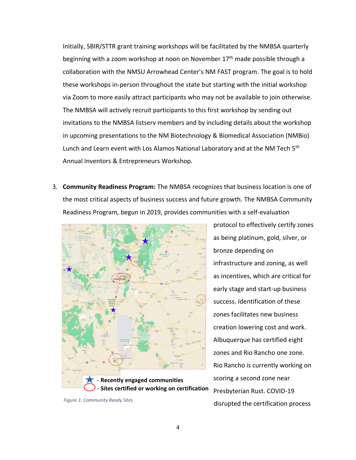Initially, SBIR/STTR grant training workshops will be facilitated by the NMBSA quarterly beginning with a zoom workshop at noon on November 17<sup>th</sup> made possible through a collaboration with the NMSU Arrowhead Center's NM FAST program. The goal is to hold these workshops in-person throughout the state but starting with the initial workshop via Zoom to more easily attract participants who may not be available to join otherwise. The NMBSA will actively recruit participants to this first workshop by sending out invitations to the NMBSA listserv members and by including details about the workshop in upcoming presentations to the NM Biotechnology & Biomedical Association (NMBio) Lunch and Learn event with Los Alamos National Laboratory and at the NM Tech 5<sup>th</sup> Annual Inventors & Entrepreneurs Workshop.

3. **Community Readiness Program:** The NMBSA recognizes that business location is one of the most critical aspects of business success and future growth. The NMBSA Community Readiness Program, begun in 2019, provides communities with a self-evaluation



*Figure 1: Community Ready Sites*

protocol to effectively certify zones as being platinum, gold, silver, or bronze depending on infrastructure and zoning, as well as incentives, which are critical for early stage and start-up business success. Identification of these zones facilitates new business creation lowering cost and work. Albuquerque has certified eight zones and Rio Rancho one zone. Rio Rancho is currently working on scoring a second zone near Presbyterian Rust. COVID-19 disrupted the certification process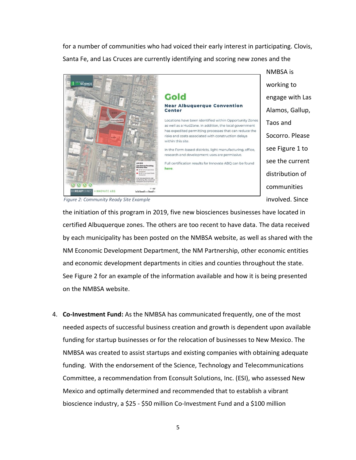for a number of communities who had voiced their early interest in participating. Clovis, Santa Fe, and Las Cruces are currently identifying and scoring new zones and the



NMBSA is working to engage with Las Alamos, Gallup, Taos and Socorro. Please see Figure 1 to see the current distribution of communities involved. Since

*Figure 2: Community Ready Site Example*

the initiation of this program in 2019, five new biosciences businesses have located in certified Albuquerque zones. The others are too recent to have data. The data received by each municipality has been posted on the NMBSA website, as well as shared with the NM Economic Development Department, the NM Partnership, other economic entities and economic development departments in cities and counties throughout the state. See Figure 2 for an example of the information available and how it is being presented on the NMBSA website.

4. **Co-Investment Fund:** As the NMBSA has communicated frequently, one of the most needed aspects of successful business creation and growth is dependent upon available funding for startup businesses or for the relocation of businesses to New Mexico. The NMBSA was created to assist startups and existing companies with obtaining adequate funding. With the endorsement of the Science, Technology and Telecommunications Committee, a recommendation from Econsult Solutions, Inc. (ESI), who assessed New Mexico and optimally determined and recommended that to establish a vibrant bioscience industry, a \$25 - \$50 million Co-Investment Fund and a \$100 million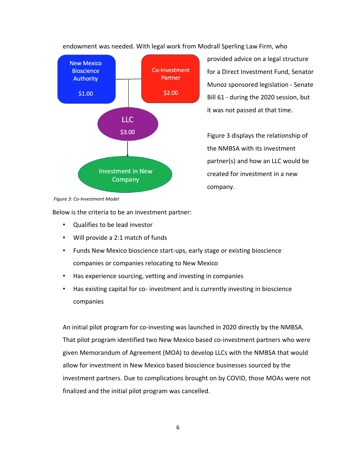endowment was needed. With legal work from Modrall Sperling Law Firm, who



provided advice on a legal structure for a Direct Investment Fund, Senator Munoz sponsored legislation - Senate Bill 61 - during the 2020 session, but it was not passed at that time.

Figure 3 displays the relationship of the NMBSA with its investment partner(s) and how an LLC would be created for investment in a new company.

*Figure 3: Co-Investment Model*

Below is the criteria to be an investment partner:

- Qualifies to be lead investor
- Will provide a 2:1 match of funds
- Funds New Mexico bioscience start-ups, early stage or existing bioscience companies or companies relocating to New Mexico
- Has experience sourcing, vetting and investing in companies
- Has existing capital for co- investment and is currently investing in bioscience companies

An initial pilot program for co-investing was launched in 2020 directly by the NMBSA. That pilot program identified two New Mexico based co-investment partners who were given Memorandum of Agreement (MOA) to develop LLCs with the NMBSA that would allow for investment in New Mexico based bioscience businesses sourced by the investment partners. Due to complications brought on by COVID, those MOAs were not finalized and the initial pilot program was cancelled.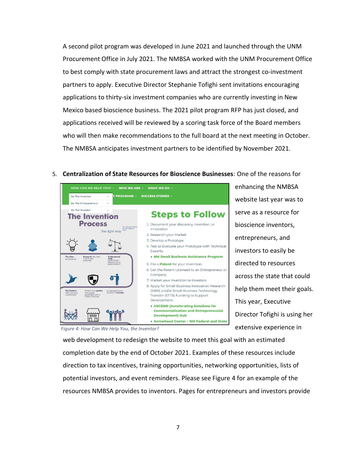A second pilot program was developed in June 2021 and launched through the UNM Procurement Office in July 2021. The NMBSA worked with the UNM Procurement Office to best comply with state procurement laws and attract the strongest co-investment partners to apply. Executive Director Stephanie Tofighi sent invitations encouraging applications to thirty-six investment companies who are currently investing in New Mexico based bioscience business. The 2021 pilot program RFP has just closed, and applications received will be reviewed by a scoring task force of the Board members who will then make recommendations to the full board at the next meeting in October. The NMBSA anticipates investment partners to be identified by November 2021.

## 5. **Centralization of State Resources for Bioscience Businesses**: One of the reasons for



enhancing the NMBSA website last year was to serve as a resource for bioscience inventors, entrepreneurs, and investors to easily be directed to resources across the state that could help them meet their goals. This year, Executive Director Tofighi is using her extensive experience in

*Figure 4: How Can We Help You, the Inventor?*

web development to redesign the website to meet this goal with an estimated completion date by the end of October 2021. Examples of these resources include direction to tax incentives, training opportunities, networking opportunities, lists of potential investors, and event reminders. Please see Figure 4 for an example of the resources NMBSA provides to inventors. Pages for entrepreneurs and investors provide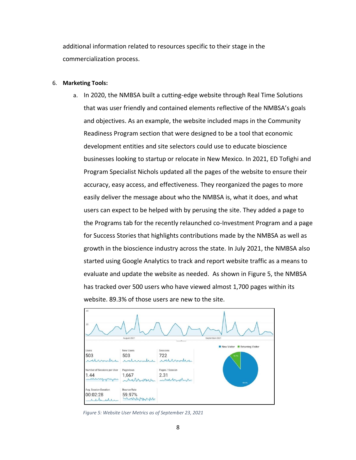additional information related to resources specific to their stage in the commercialization process.

#### 6. **Marketing Tools:**

a. In 2020, the NMBSA built a cutting-edge website through Real Time Solutions that was user friendly and contained elements reflective of the NMBSA's goals and objectives. As an example, the website included maps in the Community Readiness Program section that were designed to be a tool that economic development entities and site selectors could use to educate bioscience businesses looking to startup or relocate in New Mexico. In 2021, ED Tofighi and Program Specialist Nichols updated all the pages of the website to ensure their accuracy, easy access, and effectiveness. They reorganized the pages to more easily deliver the message about who the NMBSA is, what it does, and what users can expect to be helped with by perusing the site. They added a page to the Programs tab for the recently relaunched co-Investment Program and a page for Success Stories that highlights contributions made by the NMBSA as well as growth in the bioscience industry across the state. In July 2021, the NMBSA also started using Google Analytics to track and report website traffic as a means to evaluate and update the website as needed. As shown in Figure 5, the NMBSA has tracked over 500 users who have viewed almost 1,700 pages within its website. 89.3% of those users are new to the site.



 *Figure 5: Website User Metrics as of September 23, 2021*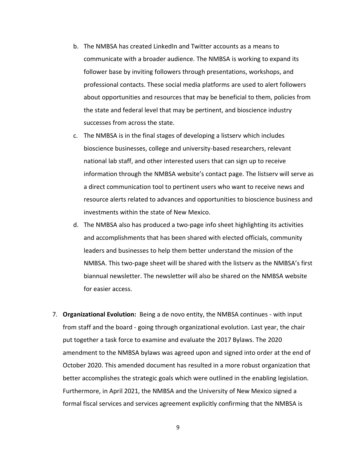- b. The NMBSA has created LinkedIn and Twitter accounts as a means to communicate with a broader audience. The NMBSA is working to expand its follower base by inviting followers through presentations, workshops, and professional contacts. These social media platforms are used to alert followers about opportunities and resources that may be beneficial to them, policies from the state and federal level that may be pertinent, and bioscience industry successes from across the state.
- c. The NMBSA is in the final stages of developing a listserv which includes bioscience businesses, college and university-based researchers, relevant national lab staff, and other interested users that can sign up to receive information through the NMBSA website's contact page. The listserv will serve as a direct communication tool to pertinent users who want to receive news and resource alerts related to advances and opportunities to bioscience business and investments within the state of New Mexico.
- d. The NMBSA also has produced a two-page info sheet highlighting its activities and accomplishments that has been shared with elected officials, community leaders and businesses to help them better understand the mission of the NMBSA. This two-page sheet will be shared with the listserv as the NMBSA's first biannual newsletter. The newsletter will also be shared on the NMBSA website for easier access.
- 7. **Organizational Evolution:** Being a de novo entity, the NMBSA continues with input from staff and the board - going through organizational evolution. Last year, the chair put together a task force to examine and evaluate the 2017 Bylaws. The 2020 amendment to the NMBSA bylaws was agreed upon and signed into order at the end of October 2020. This amended document has resulted in a more robust organization that better accomplishes the strategic goals which were outlined in the enabling legislation. Furthermore, in April 2021, the NMBSA and the University of New Mexico signed a formal fiscal services and services agreement explicitly confirming that the NMBSA is

9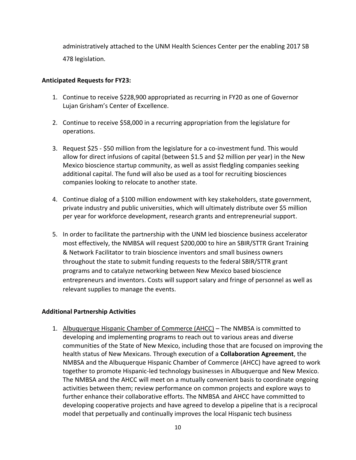administratively attached to the UNM Health Sciences Center per the enabling 2017 SB 478 legislation.

# **Anticipated Requests for FY23:**

- 1. Continue to receive \$228,900 appropriated as recurring in FY20 as one of Governor Lujan Grisham's Center of Excellence.
- 2. Continue to receive \$58,000 in a recurring appropriation from the legislature for operations.
- 3. Request \$25 \$50 million from the legislature for a co-investment fund. This would allow for direct infusions of capital (between \$1.5 and \$2 million per year) in the New Mexico bioscience startup community, as well as assist fledgling companies seeking additional capital. The fund will also be used as a tool for recruiting biosciences companies looking to relocate to another state.
- 4. Continue dialog of a \$100 million endowment with key stakeholders, state government, private industry and public universities, which will ultimately distribute over \$5 million per year for workforce development, research grants and entrepreneurial support.
- 5. In order to facilitate the partnership with the UNM led bioscience business accelerator most effectively, the NMBSA will request \$200,000 to hire an SBIR/STTR Grant Training & Network Facilitator to train bioscience inventors and small business owners throughout the state to submit funding requests to the federal SBIR/STTR grant programs and to catalyze networking between New Mexico based bioscience entrepreneurs and inventors. Costs will support salary and fringe of personnel as well as relevant supplies to manage the events.

# **Additional Partnership Activities**

1. Albuquerque Hispanic Chamber of Commerce (AHCC) – The NMBSA is committed to developing and implementing programs to reach out to various areas and diverse communities of the State of New Mexico, including those that are focused on improving the health status of New Mexicans. Through execution of a **Collaboration Agreement**, the NMBSA and the Albuquerque Hispanic Chamber of Commerce (AHCC) have agreed to work together to promote Hispanic-led technology businesses in Albuquerque and New Mexico. The NMBSA and the AHCC will meet on a mutually convenient basis to coordinate ongoing activities between them; review performance on common projects and explore ways to further enhance their collaborative efforts. The NMBSA and AHCC have committed to developing cooperative projects and have agreed to develop a pipeline that is a reciprocal model that perpetually and continually improves the local Hispanic tech business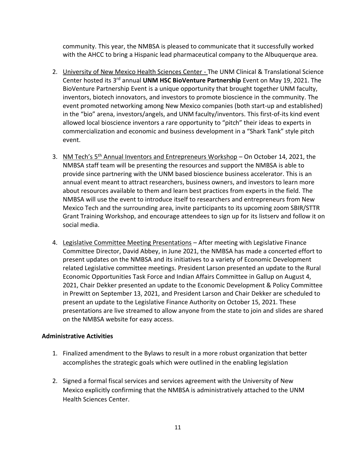community. This year, the NMBSA is pleased to communicate that it successfully worked with the AHCC to bring a Hispanic lead pharmaceutical company to the Albuquerque area.

- 2. University of New Mexico Health Sciences Center The UNM Clinical & Translational Science Center hosted its 3rd annual **UNM HSC BioVenture Partnership** Event on May 19, 2021. The BioVenture Partnership Event is a unique opportunity that brought together UNM faculty, inventors, biotech innovators, and investors to promote bioscience in the community. The event promoted networking among New Mexico companies (both start-up and established) in the "bio" arena, investors/angels, and UNM faculty/inventors. This first-of-its kind event allowed local bioscience inventors a rare opportunity to "pitch" their ideas to experts in commercialization and economic and business development in a "Shark Tank" style pitch event.
- 3. NM Tech's  $5<sup>th</sup>$  Annual Inventors and Entrepreneurs Workshop On October 14, 2021, the NMBSA staff team will be presenting the resources and support the NMBSA is able to provide since partnering with the UNM based bioscience business accelerator. This is an annual event meant to attract researchers, business owners, and investors to learn more about resources available to them and learn best practices from experts in the field. The NMBSA will use the event to introduce itself to researchers and entrepreneurs from New Mexico Tech and the surrounding area, invite participants to its upcoming zoom SBIR/STTR Grant Training Workshop, and encourage attendees to sign up for its listserv and follow it on social media.
- 4. Legislative Committee Meeting Presentations After meeting with Legislative Finance Committee Director, David Abbey, in June 2021, the NMBSA has made a concerted effort to present updates on the NMBSA and its initiatives to a variety of Economic Development related Legislative committee meetings. President Larson presented an update to the Rural Economic Opportunities Task Force and Indian Affairs Committee in Gallup on August 4, 2021, Chair Dekker presented an update to the Economic Development & Policy Committee in Prewitt on September 13, 2021, and President Larson and Chair Dekker are scheduled to present an update to the Legislative Finance Authority on October 15, 2021. These presentations are live streamed to allow anyone from the state to join and slides are shared on the NMBSA website for easy access.

# **Administrative Activities**

- 1. Finalized amendment to the Bylaws to result in a more robust organization that better accomplishes the strategic goals which were outlined in the enabling legislation
- 2. Signed a formal fiscal services and services agreement with the University of New Mexico explicitly confirming that the NMBSA is administratively attached to the UNM Health Sciences Center.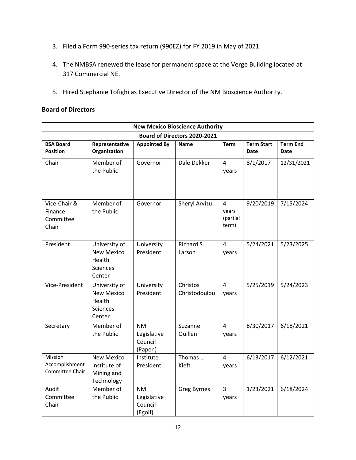- 3. Filed a Form 990‐series tax return (990EZ) for FY 2019 in May of 2021.
- 4. The NMBSA renewed the lease for permanent space at the Verge Building located at 317 Commercial NE.
- 5. Hired Stephanie Tofighi as Executive Director of the NM Bioscience Authority.

# **Board of Directors**

| <b>New Mexico Bioscience Authority</b>        |                                                                           |                                                |                           |                                 |                                  |                                |  |  |  |  |
|-----------------------------------------------|---------------------------------------------------------------------------|------------------------------------------------|---------------------------|---------------------------------|----------------------------------|--------------------------------|--|--|--|--|
| Board of Directors 2020-2021                  |                                                                           |                                                |                           |                                 |                                  |                                |  |  |  |  |
| <b>BSA Board</b><br>Position                  | Representative<br>Organization                                            | <b>Appointed By</b>                            | <b>Name</b>               | <b>Term</b>                     | <b>Term Start</b><br><b>Date</b> | <b>Term End</b><br><b>Date</b> |  |  |  |  |
| Chair                                         | Member of<br>the Public                                                   | Governor                                       | Dale Dekker               | 4<br>years                      | 8/1/2017                         | 12/31/2021                     |  |  |  |  |
| Vice-Chair &<br>Finance<br>Committee<br>Chair | Member of<br>the Public                                                   | Governor                                       | Sheryl Arvizu             | 4<br>years<br>(partial<br>term) | 9/20/2019                        | 7/15/2024                      |  |  |  |  |
| President                                     | University of<br><b>New Mexico</b><br>Health<br>Sciences<br>Center        | University<br>President                        | Richard S.<br>Larson      | 4<br>years                      | 5/24/2021                        | 5/23/2025                      |  |  |  |  |
| Vice-President                                | University of<br><b>New Mexico</b><br>Health<br><b>Sciences</b><br>Center | University<br>President                        | Christos<br>Christodoulou | 4<br>years                      | 5/25/2019                        | 5/24/2023                      |  |  |  |  |
| Secretary                                     | Member of<br>the Public                                                   | <b>NM</b><br>Legislative<br>Council<br>(Papen) | Suzanne<br>Quillen        | $\overline{4}$<br>years         | 8/30/2017                        | 6/18/2021                      |  |  |  |  |
| Mission<br>Accomplishment<br>Committee Chair  | <b>New Mexico</b><br>Institute of<br>Mining and<br>Technology             | Institute<br>President                         | Thomas L.<br>Kieft        | 4<br>years                      | 6/13/2017                        | 6/12/2021                      |  |  |  |  |
| Audit<br>Committee<br>Chair                   | Member of<br>the Public                                                   | <b>NM</b><br>Legislative<br>Council<br>(Egolf) | <b>Greg Byrnes</b>        | 3<br>years                      | 1/23/2021                        | 6/18/2024                      |  |  |  |  |